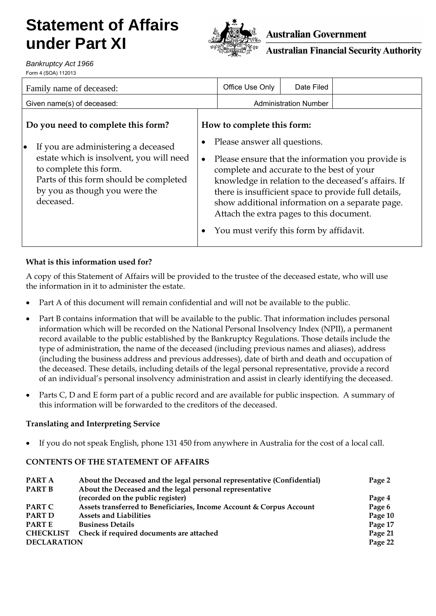# **Statement of Affairs under Part XI**



## **Australian Government**

**Australian Financial Security Authority** 

*Bankruptcy Act 1966* Form 4 (SOA) 112013

| Family name of deceased:                                                                                                                                                                                                                             |           | Office Use Only                                                                                                                                                                                | Date Filed                   |                                                                                                                                                                                                                     |
|------------------------------------------------------------------------------------------------------------------------------------------------------------------------------------------------------------------------------------------------------|-----------|------------------------------------------------------------------------------------------------------------------------------------------------------------------------------------------------|------------------------------|---------------------------------------------------------------------------------------------------------------------------------------------------------------------------------------------------------------------|
| Given name(s) of deceased:                                                                                                                                                                                                                           |           |                                                                                                                                                                                                | <b>Administration Number</b> |                                                                                                                                                                                                                     |
| Do you need to complete this form?<br>If you are administering a deceased<br>$\bullet$<br>estate which is insolvent, you will need<br>to complete this form.<br>Parts of this form should be completed<br>by you as though you were the<br>deceased. | $\bullet$ | How to complete this form:<br>Please answer all questions.<br>complete and accurate to the best of your<br>Attach the extra pages to this document.<br>You must verify this form by affidavit. |                              | Please ensure that the information you provide is<br>knowledge in relation to the deceased's affairs. If<br>there is insufficient space to provide full details,<br>show additional information on a separate page. |
|                                                                                                                                                                                                                                                      |           |                                                                                                                                                                                                |                              |                                                                                                                                                                                                                     |

### **What is this information used for?**

A copy of this Statement of Affairs will be provided to the trustee of the deceased estate, who will use the information in it to administer the estate.

- Part A of this document will remain confidential and will not be available to the public.
- Part B contains information that will be available to the public. That information includes personal information which will be recorded on the National Personal Insolvency Index (NPII), a permanent record available to the public established by the Bankruptcy Regulations. Those details include the type of administration, the name of the deceased (including previous names and aliases), address (including the business address and previous addresses), date of birth and death and occupation of the deceased. These details, including details of the legal personal representative, provide a record of an individual's personal insolvency administration and assist in clearly identifying the deceased.
- Parts C, D and E form part of a public record and are available for public inspection. A summary of this information will be forwarded to the creditors of the deceased.

#### **Translating and Interpreting Service**

• If you do not speak English, phone 131 450 from anywhere in Australia for the cost of a local call.

#### **CONTENTS OF THE STATEMENT OF AFFAIRS**

| PART A             | About the Deceased and the legal personal representative (Confidential) | Page 2  |
|--------------------|-------------------------------------------------------------------------|---------|
| <b>PART B</b>      | About the Deceased and the legal personal representative                |         |
|                    | (recorded on the public register)                                       | Page 4  |
| <b>PART C</b>      | Assets transferred to Beneficiaries, Income Account & Corpus Account    | Page 6  |
| <b>PART D</b>      | <b>Assets and Liabilities</b>                                           | Page 10 |
| <b>PARTE</b>       | <b>Business Details</b>                                                 | Page 17 |
| <b>CHECKLIST</b>   | Check if required documents are attached                                | Page 21 |
| <b>DECLARATION</b> |                                                                         | Page 22 |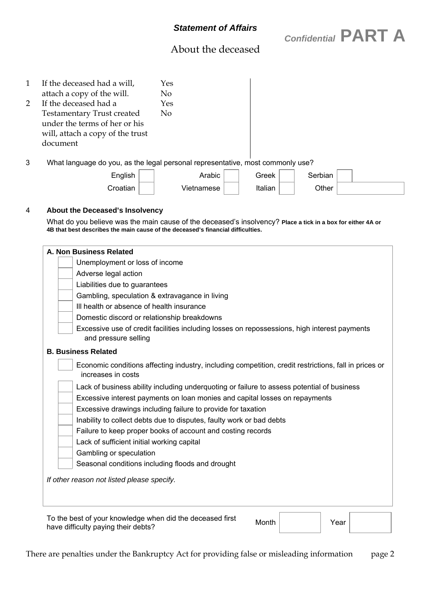*Confidential* **PART A** 

# About the deceased

|   | If the deceased had a will,<br>attach a copy of the will.<br>If the deceased had a<br><b>Testamentary Trust created</b><br>under the terms of her or his<br>will, attach a copy of the trust<br>document | Yes<br>No<br>Yes<br>No. |  |
|---|----------------------------------------------------------------------------------------------------------------------------------------------------------------------------------------------------------|-------------------------|--|
| 3 | What language do you, as the legal personal representative, most commonly use?<br>$    -$                                                                                                                | .                       |  |

| English  | Arabic     | Greek   | Serbian |  |
|----------|------------|---------|---------|--|
| Croatian | Vietnamese | Italian | Other   |  |

#### 4 **About the Deceased's Insolvency**

 What do you believe was the main cause of the deceased's insolvency? **Place a tick in a box for either 4A or 4B that best describes the main cause of the deceased's financial difficulties.**

| A. Non Business Related                                                                                                     |
|-----------------------------------------------------------------------------------------------------------------------------|
| Unemployment or loss of income                                                                                              |
| Adverse legal action                                                                                                        |
| Liabilities due to guarantees                                                                                               |
| Gambling, speculation & extravagance in living                                                                              |
| Ill health or absence of health insurance                                                                                   |
| Domestic discord or relationship breakdowns                                                                                 |
| Excessive use of credit facilities including losses on repossessions, high interest payments<br>and pressure selling        |
| <b>B. Business Related</b>                                                                                                  |
| Economic conditions affecting industry, including competition, credit restrictions, fall in prices or<br>increases in costs |
| Lack of business ability including underquoting or failure to assess potential of business                                  |
| Excessive interest payments on loan monies and capital losses on repayments                                                 |
| Excessive drawings including failure to provide for taxation                                                                |
| Inability to collect debts due to disputes, faulty work or bad debts                                                        |
| Failure to keep proper books of account and costing records                                                                 |
| Lack of sufficient initial working capital                                                                                  |
|                                                                                                                             |
| Gambling or speculation                                                                                                     |

To the best of your knowledge when did the deceased lifts Month Month Year

To the best of your knowledge when did the deceased first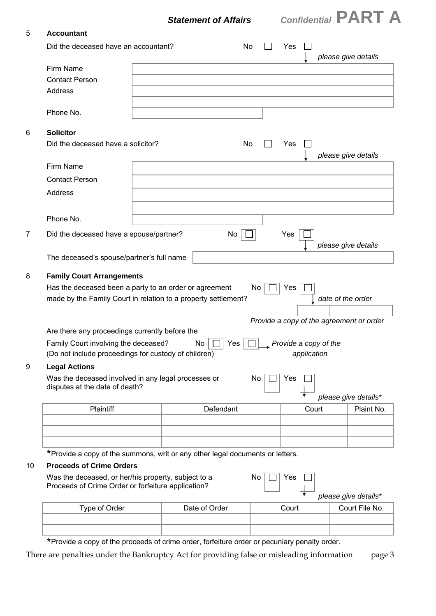

#### 5 **Accountant**

| Did the deceased have an accountant?                                                                                                                         | No            |     | Yes   |             |                                  | please give details                      |
|--------------------------------------------------------------------------------------------------------------------------------------------------------------|---------------|-----|-------|-------------|----------------------------------|------------------------------------------|
| Firm Name                                                                                                                                                    |               |     |       |             |                                  |                                          |
| <b>Contact Person</b>                                                                                                                                        |               |     |       |             |                                  |                                          |
| Address                                                                                                                                                      |               |     |       |             |                                  |                                          |
|                                                                                                                                                              |               |     |       |             |                                  |                                          |
| Phone No.                                                                                                                                                    |               |     |       |             |                                  |                                          |
| <b>Solicitor</b>                                                                                                                                             |               |     |       |             |                                  |                                          |
| Did the deceased have a solicitor?                                                                                                                           | No            |     | Yes   |             |                                  | please give details                      |
| Firm Name                                                                                                                                                    |               |     |       |             |                                  |                                          |
| <b>Contact Person</b>                                                                                                                                        |               |     |       |             |                                  |                                          |
| <b>Address</b>                                                                                                                                               |               |     |       |             |                                  |                                          |
|                                                                                                                                                              |               |     |       |             |                                  |                                          |
| Phone No.                                                                                                                                                    |               |     |       |             |                                  |                                          |
| Did the deceased have a spouse/partner?                                                                                                                      | No            |     | Yes   |             |                                  | please give details                      |
| The deceased's spouse/partner's full name                                                                                                                    |               |     |       |             |                                  |                                          |
| <b>Family Court Arrangements</b><br>Has the deceased been a party to an order or agreement<br>made by the Family Court in relation to a property settlement? |               | No. | Yes   |             |                                  | date of the order                        |
| Are there any proceedings currently before the                                                                                                               |               |     |       |             |                                  | Provide a copy of the agreement or order |
| Family Court involving the deceased?<br>(Do not include proceedings for custody of children)                                                                 | No<br>Yes     |     |       | application | $\sqrt{P}$ Provide a copy of the |                                          |
| <b>Legal Actions</b>                                                                                                                                         |               |     |       |             |                                  |                                          |
| Was the deceased involved in any legal processes or<br>disputes at the date of death?                                                                        |               | No  | Yes   |             |                                  |                                          |
|                                                                                                                                                              |               |     |       |             |                                  | please give details*                     |
| Plaintiff                                                                                                                                                    | Defendant     |     |       | Court       |                                  | Plaint No.                               |
|                                                                                                                                                              |               |     |       |             |                                  |                                          |
|                                                                                                                                                              |               |     |       |             |                                  |                                          |
| *Provide a copy of the summons, writ or any other legal documents or letters.                                                                                |               |     |       |             |                                  |                                          |
| <b>Proceeds of Crime Orders</b><br>Was the deceased, or her/his property, subject to a<br>Proceeds of Crime Order or forfeiture application?                 |               | No  | Yes   |             |                                  |                                          |
| Type of Order                                                                                                                                                | Date of Order |     | Court |             |                                  | please give details*<br>Court File No.   |

\*Provide a copy of the proceeds of crime order, forfeiture order or pecuniary penalty order.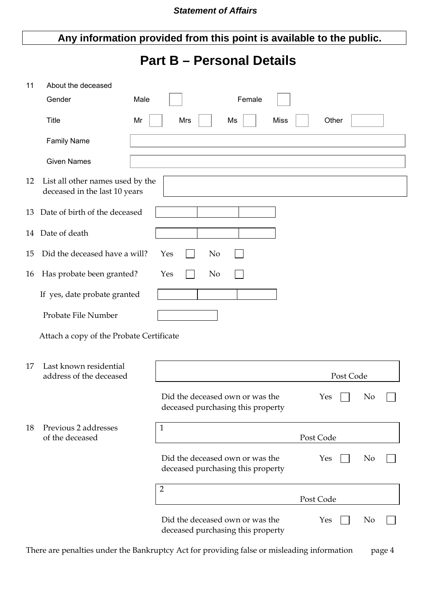# **Any information provided from this point is available to the public.**

# **Part B – Personal Details**

| 11 | About the deceased                                                |                                                                      |                       |
|----|-------------------------------------------------------------------|----------------------------------------------------------------------|-----------------------|
|    | Gender                                                            | Male<br>Female                                                       |                       |
|    | <b>Title</b>                                                      | <b>Miss</b><br>Mrs<br>Ms<br>Mr                                       | Other                 |
|    | <b>Family Name</b>                                                |                                                                      |                       |
|    | <b>Given Names</b>                                                |                                                                      |                       |
| 12 | List all other names used by the<br>deceased in the last 10 years |                                                                      |                       |
| 13 | Date of birth of the deceased                                     |                                                                      |                       |
|    | 14 Date of death                                                  |                                                                      |                       |
| 15 | Did the deceased have a will?                                     | Yes<br>No                                                            |                       |
| 16 | Has probate been granted?                                         | Yes<br>No                                                            |                       |
|    | If yes, date probate granted                                      |                                                                      |                       |
|    | Probate File Number                                               |                                                                      |                       |
|    | Attach a copy of the Probate Certificate                          |                                                                      |                       |
| 17 | Last known residential<br>address of the deceased                 |                                                                      | Post Code             |
|    |                                                                   | Did the deceased own or was the<br>deceased purchasing this property | No<br>Yes             |
| 18 | Previous 2 addresses<br>of the deceased                           | $\mathbf{1}$                                                         | Post Code             |
|    |                                                                   | Did the deceased own or was the<br>deceased purchasing this property | N <sub>o</sub><br>Yes |
|    |                                                                   | $\overline{2}$                                                       | Post Code             |
|    |                                                                   | Did the deceased own or was the<br>deceased purchasing this property | Yes<br>No             |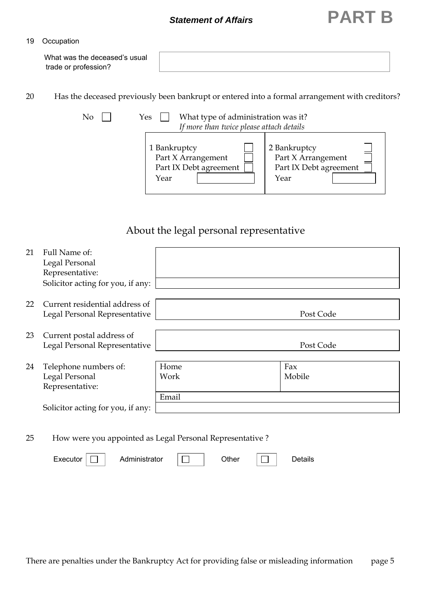# *Statement of Affairs* **PART B**

#### 19 Occupation

| What was the deceased's usual |  |
|-------------------------------|--|
| trade or profession?          |  |
|                               |  |

20 Has the deceased previously been bankrupt or entered into a formal arrangement with creditors?

| No | What type of administration was it?<br>Yes<br>If more than twice please attach details |                                                                      |
|----|----------------------------------------------------------------------------------------|----------------------------------------------------------------------|
|    | 1 Bankruptcy<br>Part X Arrangement<br>Part IX Debt agreement<br>Year                   | 2 Bankruptcy<br>Part X Arrangement<br>Part IX Debt agreement<br>Year |

# About the legal personal representative

| 21 | Full Name of:<br>Legal Personal<br>Representative:<br>Solicitor acting for you, if any:         |                       |               |
|----|-------------------------------------------------------------------------------------------------|-----------------------|---------------|
| 22 | Current residential address of<br>Legal Personal Representative                                 |                       | Post Code     |
| 23 | Current postal address of<br>Legal Personal Representative                                      |                       | Post Code     |
| 24 | Telephone numbers of:<br>Legal Personal<br>Representative:<br>Solicitor acting for you, if any: | Home<br>Work<br>Email | Fax<br>Mobile |

25 How were you appointed as Legal Personal Representative ?

| Administrator<br>Executor |  | <b>Other</b> |  | े°tails |
|---------------------------|--|--------------|--|---------|
|---------------------------|--|--------------|--|---------|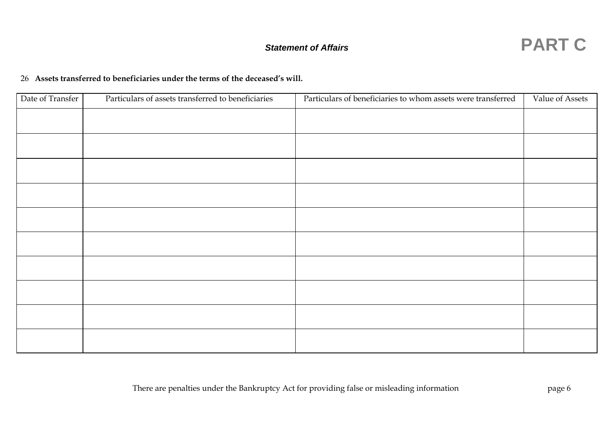#### 26 **Assets transferred to beneficiaries under the terms of the deceased's will.**

| Date of Transfer | Particulars of assets transferred to beneficiaries | Particulars of beneficiaries to whom assets were transferred | Value of Assets |
|------------------|----------------------------------------------------|--------------------------------------------------------------|-----------------|
|                  |                                                    |                                                              |                 |
|                  |                                                    |                                                              |                 |
|                  |                                                    |                                                              |                 |
|                  |                                                    |                                                              |                 |
|                  |                                                    |                                                              |                 |
|                  |                                                    |                                                              |                 |
|                  |                                                    |                                                              |                 |
|                  |                                                    |                                                              |                 |
|                  |                                                    |                                                              |                 |
|                  |                                                    |                                                              |                 |
|                  |                                                    |                                                              |                 |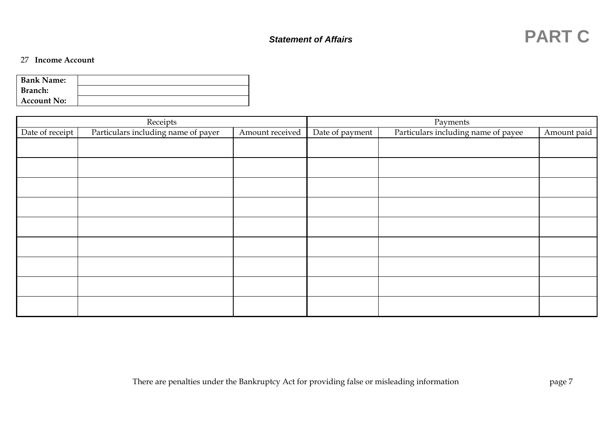| <b>Bank Name:</b>  |  |
|--------------------|--|
| Branch:            |  |
| <b>Account No:</b> |  |

|                 | Receipts                            |                 | Payments        |                                     |             |  |
|-----------------|-------------------------------------|-----------------|-----------------|-------------------------------------|-------------|--|
| Date of receipt | Particulars including name of payer | Amount received | Date of payment | Particulars including name of payee | Amount paid |  |
|                 |                                     |                 |                 |                                     |             |  |
|                 |                                     |                 |                 |                                     |             |  |
|                 |                                     |                 |                 |                                     |             |  |
|                 |                                     |                 |                 |                                     |             |  |
|                 |                                     |                 |                 |                                     |             |  |
|                 |                                     |                 |                 |                                     |             |  |
|                 |                                     |                 |                 |                                     |             |  |
|                 |                                     |                 |                 |                                     |             |  |
|                 |                                     |                 |                 |                                     |             |  |
|                 |                                     |                 |                 |                                     |             |  |
|                 |                                     |                 |                 |                                     |             |  |
|                 |                                     |                 |                 |                                     |             |  |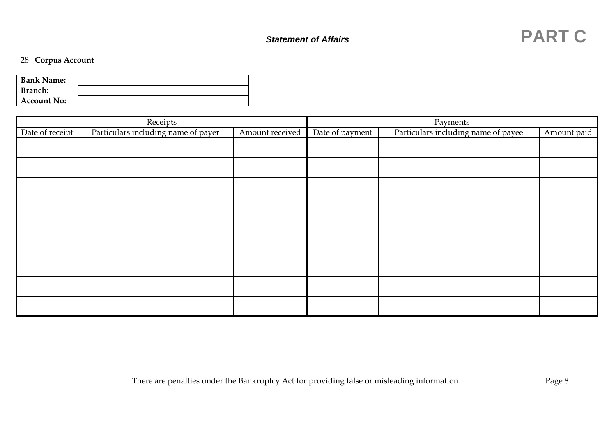### 28 **Corpus Account**

| <b>Bank Name:</b>  |  |
|--------------------|--|
| Branch:            |  |
| <b>Account No:</b> |  |

|                 | Receipts                            |                 | Payments        |                                     |             |  |
|-----------------|-------------------------------------|-----------------|-----------------|-------------------------------------|-------------|--|
| Date of receipt | Particulars including name of payer | Amount received | Date of payment | Particulars including name of payee | Amount paid |  |
|                 |                                     |                 |                 |                                     |             |  |
|                 |                                     |                 |                 |                                     |             |  |
|                 |                                     |                 |                 |                                     |             |  |
|                 |                                     |                 |                 |                                     |             |  |
|                 |                                     |                 |                 |                                     |             |  |
|                 |                                     |                 |                 |                                     |             |  |
|                 |                                     |                 |                 |                                     |             |  |
|                 |                                     |                 |                 |                                     |             |  |
|                 |                                     |                 |                 |                                     |             |  |
|                 |                                     |                 |                 |                                     |             |  |
|                 |                                     |                 |                 |                                     |             |  |
|                 |                                     |                 |                 |                                     |             |  |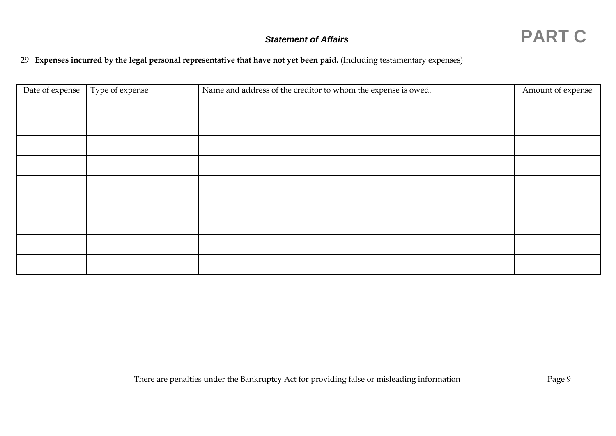

### 29 **Expenses incurred by the legal personal representative that have not yet been paid.** (Including testamentary expenses)

| Date of expense | Type of expense | Name and address of the creditor to whom the expense is owed. | Amount of expense |
|-----------------|-----------------|---------------------------------------------------------------|-------------------|
|                 |                 |                                                               |                   |
|                 |                 |                                                               |                   |
|                 |                 |                                                               |                   |
|                 |                 |                                                               |                   |
|                 |                 |                                                               |                   |
|                 |                 |                                                               |                   |
|                 |                 |                                                               |                   |
|                 |                 |                                                               |                   |
|                 |                 |                                                               |                   |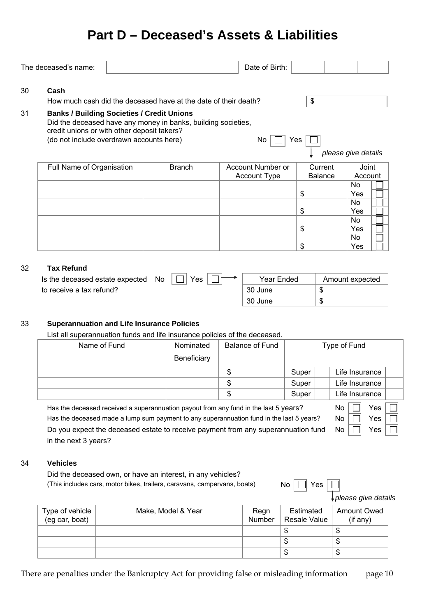# **Part D – Deceased's Assets & Liabilities**

| The deceased's name:      |                                                                                                                                              |                                                                                          | Date of Birth:                   |                                           |                |                     |       |
|---------------------------|----------------------------------------------------------------------------------------------------------------------------------------------|------------------------------------------------------------------------------------------|----------------------------------|-------------------------------------------|----------------|---------------------|-------|
| Cash                      |                                                                                                                                              | How much cash did the deceased have at the date of their death?                          |                                  | $\, \, \raisebox{12pt}{$\scriptstyle \$}$ |                |                     |       |
|                           | <b>Banks / Building Societies / Credit Unions</b><br>credit unions or with other deposit takers?<br>(do not include overdrawn accounts here) | Did the deceased have any money in banks, building societies,                            | No                               | Yes                                       |                |                     |       |
|                           |                                                                                                                                              |                                                                                          |                                  |                                           |                | please give details |       |
| Full Name of Organisation |                                                                                                                                              | <b>Branch</b>                                                                            | Account Number or                |                                           | Current        |                     | Joint |
|                           |                                                                                                                                              |                                                                                          | <b>Account Type</b>              |                                           | <b>Balance</b> | Account             |       |
|                           |                                                                                                                                              |                                                                                          |                                  |                                           |                | <b>No</b>           |       |
|                           |                                                                                                                                              |                                                                                          |                                  | \$                                        |                | Yes                 |       |
|                           |                                                                                                                                              |                                                                                          |                                  |                                           |                | <b>No</b>           |       |
|                           |                                                                                                                                              |                                                                                          |                                  | \$                                        |                | Yes                 |       |
|                           |                                                                                                                                              |                                                                                          |                                  |                                           |                | <b>No</b>           |       |
|                           |                                                                                                                                              |                                                                                          |                                  | \$                                        |                | Yes                 |       |
|                           |                                                                                                                                              |                                                                                          |                                  |                                           |                | <b>No</b>           |       |
|                           |                                                                                                                                              |                                                                                          |                                  | \$                                        |                | Yes                 |       |
| to receive a tax refund?  | Is the deceased estate expected                                                                                                              | No<br>Yes                                                                                | Year Ended<br>30 June<br>30 June |                                           | \$<br>\$       | Amount expected     |       |
|                           |                                                                                                                                              |                                                                                          |                                  |                                           |                |                     |       |
|                           |                                                                                                                                              | <b>Superannuation and Life Insurance Policies</b>                                        |                                  |                                           |                |                     |       |
|                           |                                                                                                                                              | List all superannuation funds and life insurance policies of the deceased.               |                                  |                                           |                |                     |       |
|                           | Name of Fund                                                                                                                                 | Nominated                                                                                | <b>Balance of Fund</b>           |                                           |                | Type of Fund        |       |
|                           |                                                                                                                                              | Beneficiary                                                                              |                                  |                                           |                |                     |       |
|                           |                                                                                                                                              |                                                                                          | \$                               | Super                                     |                | Life Insurance      |       |
|                           |                                                                                                                                              |                                                                                          | \$                               | Super                                     |                | Life Insurance      |       |
|                           |                                                                                                                                              |                                                                                          | \$                               | Super                                     |                | Life Insurance      |       |
|                           |                                                                                                                                              | Has the deceased received a superannuation payout from any fund in the last 5 years?     |                                  |                                           |                | No                  | Yes   |
|                           |                                                                                                                                              | Has the deceased made a lump sum payment to any superannuation fund in the last 5 years? |                                  |                                           |                | No                  | Yes   |
|                           |                                                                                                                                              |                                                                                          |                                  |                                           |                |                     |       |
|                           |                                                                                                                                              | Do you expect the deceased estate to receive payment from any superannuation fund        |                                  |                                           |                | No                  | Yes   |
| in the next 3 years?      |                                                                                                                                              |                                                                                          |                                  |                                           |                |                     |       |
|                           |                                                                                                                                              |                                                                                          |                                  |                                           |                |                     |       |
| <b>Vehicles</b>           |                                                                                                                                              |                                                                                          |                                  |                                           |                |                     |       |
|                           |                                                                                                                                              | Did the deceased own, or have an interest, in any vehicles?                              |                                  |                                           |                |                     |       |
|                           |                                                                                                                                              | (This includes cars, motor bikes, trailers, caravans, campervans, boats)                 | No                               |                                           | Yes            |                     |       |

| Type of vehicle<br>(eg car, boat) | Make, Model & Year | Regn<br>Number | Estimated<br>Resale Value | <b>Amount Owed</b><br>$($ if any $)$ |
|-----------------------------------|--------------------|----------------|---------------------------|--------------------------------------|
|                                   |                    |                | æ                         | D                                    |
|                                   |                    |                | æ                         | D                                    |
|                                   |                    |                | Œ                         | Œ                                    |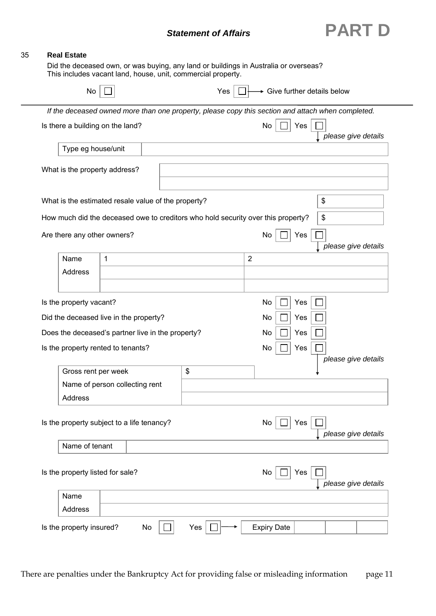

—<br>—

| No                                                    |              |                                                                                                   | Yes |                | + Give further details below |     |                     |
|-------------------------------------------------------|--------------|---------------------------------------------------------------------------------------------------|-----|----------------|------------------------------|-----|---------------------|
|                                                       |              | If the deceased owned more than one property, please copy this section and attach when completed. |     |                |                              |     |                     |
| Is there a building on the land?                      |              |                                                                                                   |     |                | No                           | Yes | please give details |
| Type eg house/unit                                    |              |                                                                                                   |     |                |                              |     |                     |
| What is the property address?                         |              |                                                                                                   |     |                |                              |     |                     |
|                                                       |              | What is the estimated resale value of the property?                                               |     |                |                              |     | \$                  |
|                                                       |              | How much did the deceased owe to creditors who hold security over this property?                  |     |                |                              |     | \$                  |
| Are there any other owners?                           |              |                                                                                                   |     |                | No                           | Yes | please give details |
| Name                                                  | $\mathbf{1}$ |                                                                                                   |     | $\overline{2}$ |                              |     |                     |
| Address                                               |              |                                                                                                   |     |                |                              |     |                     |
| Is the property vacant?                               |              |                                                                                                   |     |                | No                           | Yes |                     |
| Did the deceased live in the property?                |              |                                                                                                   |     |                | No                           | Yes |                     |
|                                                       |              | Does the deceased's partner live in the property?                                                 |     |                | No                           | Yes |                     |
| Is the property rented to tenants?                    |              |                                                                                                   |     |                | No                           | Yes |                     |
|                                                       |              |                                                                                                   | \$  |                |                              |     | please give details |
| Gross rent per week<br>Name of person collecting rent |              |                                                                                                   |     |                |                              |     |                     |
| <b>Address</b>                                        |              |                                                                                                   |     |                |                              |     |                     |
|                                                       |              | Is the property subject to a life tenancy?                                                        |     |                | No                           | Yes | please give details |
| Name of tenant                                        |              |                                                                                                   |     |                |                              |     |                     |
| Is the property listed for sale?                      |              |                                                                                                   |     |                | No                           | Yes | please give details |
| Name                                                  |              |                                                                                                   |     |                |                              |     |                     |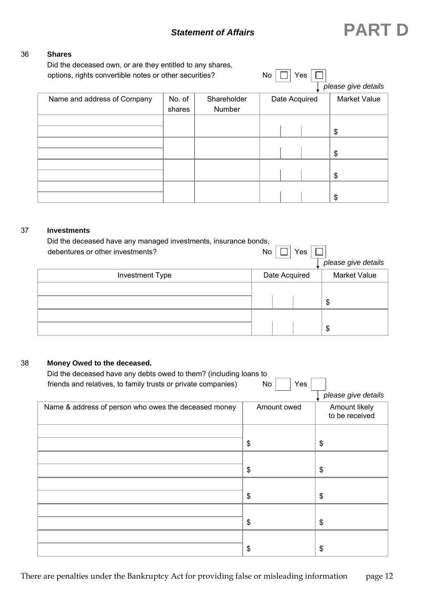#### 36 **Shares**

Did the deceased own, or are they entitled to any shares,

| options, rights convertible notes or other securities? |        |             | No            | Yes |                     |
|--------------------------------------------------------|--------|-------------|---------------|-----|---------------------|
|                                                        |        |             |               |     | please give details |
| Name and address of Company                            | No. of | Shareholder | Date Acquired |     | <b>Market Value</b> |
|                                                        | shares | Number      |               |     |                     |
|                                                        |        |             |               |     |                     |
|                                                        |        |             |               |     | \$                  |
|                                                        |        |             |               |     |                     |
|                                                        |        |             |               |     | \$                  |
|                                                        |        |             |               |     |                     |
|                                                        |        |             |               |     | \$                  |
|                                                        |        |             |               |     |                     |
|                                                        |        |             |               |     | \$                  |

#### 37 **Investments**

| Did the deceased have any managed investments, insurance bonds, |               |                     |
|-----------------------------------------------------------------|---------------|---------------------|
| debentures or other investments?                                | Yes<br>No.    |                     |
|                                                                 |               | please give details |
| <b>Investment Type</b>                                          | Date Acquired | <b>Market Value</b> |
|                                                                 |               |                     |
|                                                                 |               | \$                  |
|                                                                 |               |                     |
|                                                                 |               | \$                  |

#### 38 **Money Owed to the deceased.**

| Did the deceased have any debts owed to them? (including loans to |             |                                 |
|-------------------------------------------------------------------|-------------|---------------------------------|
| friends and relatives, to family trusts or private companies)     | Yes<br>No   | please give details             |
| Name & address of person who owes the deceased money              | Amount owed | Amount likely<br>to be received |
|                                                                   | \$          | \$                              |
|                                                                   | \$          | \$                              |
|                                                                   | \$          | \$                              |
|                                                                   | \$          | \$                              |
|                                                                   | \$          | \$                              |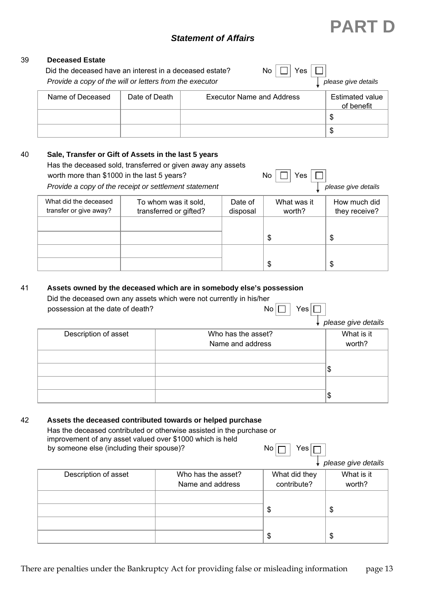#### 39 **Deceased Estate**

| Did the deceased have an interest in a deceased estate?<br>Provide a copy of the will or letters from the executor |               | No                               | Yes | please give details           |
|--------------------------------------------------------------------------------------------------------------------|---------------|----------------------------------|-----|-------------------------------|
| Name of Deceased                                                                                                   | Date of Death | <b>Executor Name and Address</b> |     | Estimated value<br>of benefit |
|                                                                                                                    |               |                                  |     | S                             |
|                                                                                                                    |               |                                  |     | \$                            |

#### 40 **Sale, Transfer or Gift of Assets in the last 5 years**

Has the deceased sold, transferred or given away any assets worth more than \$1000 in the last 5 years? No  $\Box$  Yes

*Provide a copy of the receipt or settlement statement please give details please give details**please give details* 

| What did the deceased<br>transfer or give away? | To whom was it sold,<br>transferred or gifted? | Date of<br>disposal | What was it<br>worth? | How much did<br>they receive? |
|-------------------------------------------------|------------------------------------------------|---------------------|-----------------------|-------------------------------|
|                                                 |                                                |                     | \$                    |                               |
|                                                 |                                                |                     | \$                    |                               |

#### 41 **Assets owned by the deceased which are in somebody else's possession**

Did the deceased own any assets which were not currently in his/her<br>possession at the date of death?<br> $N_0$ possession at the date of death?

| $\downarrow$ please give details |
|----------------------------------|

**PART D**

| Description of asset | Who has the asset?<br>Name and address | What is it<br>worth? |
|----------------------|----------------------------------------|----------------------|
|                      |                                        | Φ                    |
|                      |                                        | w                    |

#### 42 **Assets the deceased contributed towards or helped purchase**

 Has the deceased contributed or otherwise assisted in the purchase or improvement of any asset valued over \$1000 which is held by someone else (including their spouse)?  $\Box$  No  $\Box$  Yes

*please give details* 

| Description of asset | Who has the asset? | What did they | What is it |
|----------------------|--------------------|---------------|------------|
|                      | Name and address   | contribute?   | worth?     |
|                      |                    |               |            |
|                      |                    | \$            |            |
|                      |                    |               |            |
|                      |                    | \$            | D          |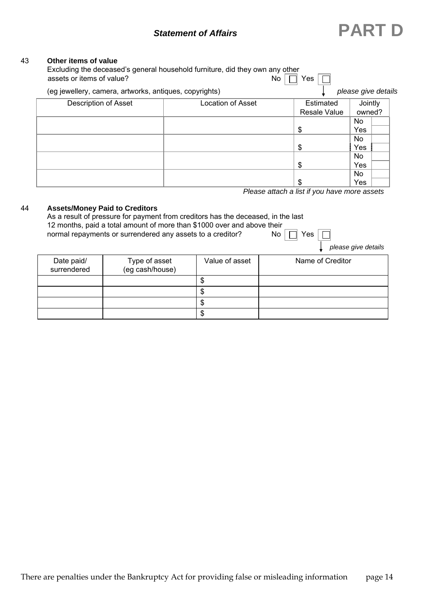# *Statement of Affairs* **PART D**

#### 43 **Other items of value**

|                                                        | No.                      | Yes                 |                     |
|--------------------------------------------------------|--------------------------|---------------------|---------------------|
| (eg jewellery, camera, artworks, antiques, copyrights) |                          |                     | please give details |
| <b>Description of Asset</b>                            | <b>Location of Asset</b> | Estimated           | Jointly             |
|                                                        |                          | <b>Resale Value</b> | owned?              |
|                                                        |                          |                     | No.                 |
|                                                        |                          | \$                  | Yes                 |
|                                                        |                          |                     | No.                 |
|                                                        |                          | \$                  | Yes                 |
|                                                        |                          |                     | No.                 |
|                                                        |                          | \$                  | Yes                 |
|                                                        |                          |                     | No.                 |
|                                                        |                          | \$                  | Yes                 |

*Please attach a list if you have more assets* 

#### 44 **Assets/Money Paid to Creditors**

| As a result of pressure for payment from creditors has the deceased, in the last<br>12 months, paid a total amount of more than \$1000 over and above their<br>normal repayments or surrendered any assets to a creditor?<br>Yes l<br>No. |                                  |                |                     |  |  |
|-------------------------------------------------------------------------------------------------------------------------------------------------------------------------------------------------------------------------------------------|----------------------------------|----------------|---------------------|--|--|
|                                                                                                                                                                                                                                           |                                  |                | please give details |  |  |
| Date paid/<br>surrendered                                                                                                                                                                                                                 | Type of asset<br>(eg cash/house) | Value of asset | Name of Creditor    |  |  |

| Date paid/<br>surrendered | Type of asset<br>(eg cash/house) | Value of asset | Name of Creditor |
|---------------------------|----------------------------------|----------------|------------------|
|                           |                                  | ۰D             |                  |
|                           |                                  | D              |                  |
|                           |                                  | ۰D             |                  |
|                           |                                  | ъĐ             |                  |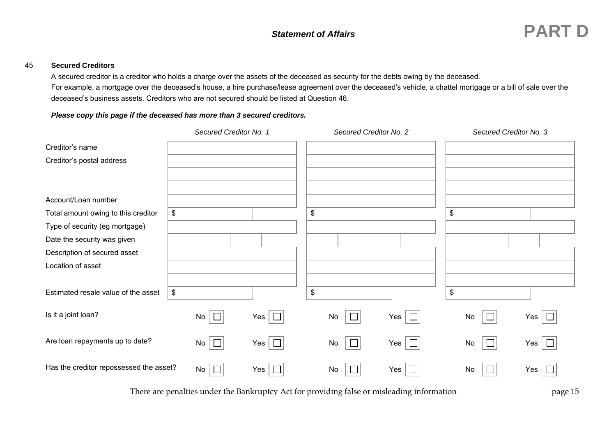A secured creditor is a creditor who holds a charge over the assets of the deceased as security for the debts owing by the deceased. For example, a mortgage over the deceased's house, a hire purchase/lease agreement over the deceased's vehicle, a chattel mortgage or a bill of sale over the deceased's business assets. Creditors who are not secured should be listed at Question 46.

#### *Please copy this page if the deceased has more than 3 secured creditors.*

|                                                                                              | Secured Creditor No. 1 |            | Secured Creditor No. 2 |                      | Secured Creditor No. 3 |                       |
|----------------------------------------------------------------------------------------------|------------------------|------------|------------------------|----------------------|------------------------|-----------------------|
| Creditor's name<br>Creditor's postal address                                                 |                        |            |                        |                      |                        |                       |
| Account/Loan number<br>Total amount owing to this creditor<br>Type of security (eg mortgage) | $\,$                   |            | $\,$                   |                      | $\,$                   |                       |
| Date the security was given<br>Description of secured asset<br>Location of asset             |                        |            |                        |                      |                        |                       |
| Estimated resale value of the asset                                                          | $\,$                   |            | $\$\$                  |                      | \$                     |                       |
| Is it a joint loan?                                                                          | $No \Box$              | Yes $\Box$ | No                     | $\Box$<br>$Yes \mid$ | No                     | $\Box$<br>Yes $\vert$ |
| Are loan repayments up to date?                                                              | $No \Box$              | Yes $\Box$ | No                     | $\Box$<br>$Yes \mid$ | No<br>$\Box$           | Yes $\Box$            |
| Has the creditor repossessed the asset?                                                      | No $\Box$              | Yes $\Box$ | No                     | $Yes \mid$<br>$\Box$ | No                     | Yes $ $               |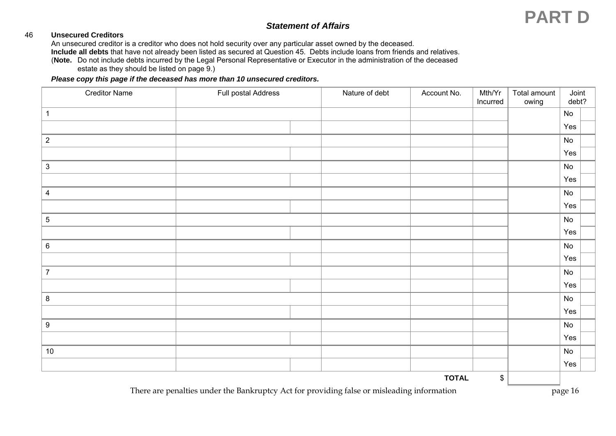#### 46 **Unsecured Creditors**

An unsecured creditor is a creditor who does not hold security over any particular asset owned by the deceased.

**Include all debts** that have not already been listed as secured at Question 45. Debts include loans from friends and relatives.

 (**Note.** Do not include debts incurred by the Legal Personal Representative or Executor in the administration of the deceased estate as they should be listed on page 9.)

#### *Please copy this page if the deceased has more than 10 unsecured creditors.*

| <b>Creditor Name</b> | Full postal Address | Nature of debt | Account No.  | Mth/Yr<br>Incurred        | Total amount<br>owing | Joint<br>debt?               |  |
|----------------------|---------------------|----------------|--------------|---------------------------|-----------------------|------------------------------|--|
| $\mathbf{1}$         |                     |                |              |                           |                       | No                           |  |
|                      |                     |                |              |                           |                       | Yes                          |  |
| $\overline{2}$       |                     |                |              |                           |                       | $\mathsf{No}$                |  |
|                      |                     |                |              |                           |                       | Yes                          |  |
| $\mathbf{3}$         |                     |                |              |                           |                       | No                           |  |
|                      |                     |                |              |                           |                       | Yes                          |  |
| $\overline{4}$       |                     |                |              |                           |                       | $\mathsf{No}$                |  |
|                      |                     |                |              |                           |                       | Yes                          |  |
| $5\phantom{.0}$      |                     |                |              |                           |                       | $\mathsf{No}$                |  |
|                      |                     |                |              |                           |                       | Yes                          |  |
| $\,6\,$              |                     |                |              |                           |                       | $\operatorname{\mathsf{No}}$ |  |
|                      |                     |                |              |                           |                       | Yes                          |  |
| $\overline{7}$       |                     |                |              |                           |                       | $\mathsf{No}$                |  |
|                      |                     |                |              |                           |                       | Yes                          |  |
| $\bf 8$              |                     |                |              |                           |                       | No                           |  |
|                      |                     |                |              |                           |                       | Yes                          |  |
| $\boldsymbol{9}$     |                     |                |              |                           |                       | $\mathsf{No}$                |  |
|                      |                     |                |              |                           |                       | Yes                          |  |
| 10                   |                     |                |              |                           |                       | $\mathsf{No}$                |  |
|                      |                     |                |              |                           |                       | Yes                          |  |
|                      |                     |                | <b>TOTAL</b> | $\boldsymbol{\mathsf{S}}$ |                       |                              |  |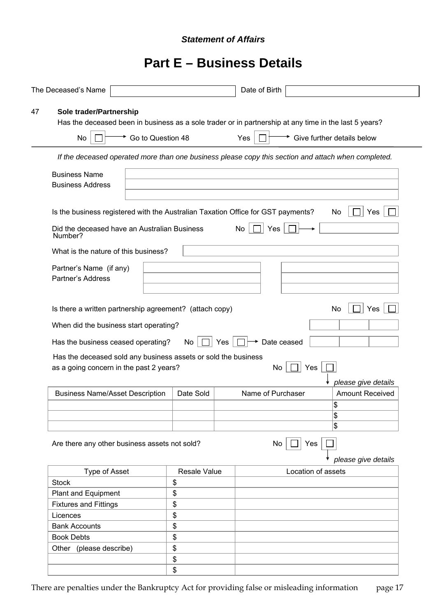# **Part E – Business Details**

| The Deceased's Name                                                                                       |              | Date of Birth                                                                                         |
|-----------------------------------------------------------------------------------------------------------|--------------|-------------------------------------------------------------------------------------------------------|
| Sole trader/Partnership<br>47                                                                             |              | Has the deceased been in business as a sole trader or in partnership at any time in the last 5 years? |
| Go to Question 48<br>No                                                                                   |              | Give further details below<br>Yes                                                                     |
|                                                                                                           |              | If the deceased operated more than one business please copy this section and attach when completed.   |
| <b>Business Name</b><br><b>Business Address</b>                                                           |              |                                                                                                       |
| Is the business registered with the Australian Taxation Office for GST payments?                          |              | Yes<br>No                                                                                             |
| Did the deceased have an Australian Business<br>Number?                                                   |              | Yes<br>No                                                                                             |
| What is the nature of this business?                                                                      |              |                                                                                                       |
| Partner's Name (if any)<br><b>Partner's Address</b>                                                       |              |                                                                                                       |
| Is there a written partnership agreement? (attach copy)                                                   |              | No<br>Yes                                                                                             |
| When did the business start operating?                                                                    |              |                                                                                                       |
| Has the business ceased operating?                                                                        | No           | Date ceased<br>Yes                                                                                    |
| Has the deceased sold any business assets or sold the business<br>as a going concern in the past 2 years? |              | Yes<br>No                                                                                             |
| <b>Business Name/Asset Description</b>                                                                    | Date Sold    | please give details<br>Name of Purchaser<br><b>Amount Received</b><br>\$<br>\$<br>\$                  |
| Are there any other business assets not sold?                                                             |              | Yes<br>No<br>please give details                                                                      |
| Type of Asset                                                                                             | Resale Value | Location of assets                                                                                    |
| <b>Stock</b>                                                                                              | \$           |                                                                                                       |
| Plant and Equipment                                                                                       | \$           |                                                                                                       |
| <b>Fixtures and Fittings</b>                                                                              | \$           |                                                                                                       |
| Licences                                                                                                  | \$           |                                                                                                       |
| <b>Bank Accounts</b>                                                                                      | \$           |                                                                                                       |
| <b>Book Debts</b>                                                                                         | \$           |                                                                                                       |
| Other (please describe)                                                                                   | \$           |                                                                                                       |
|                                                                                                           | \$           |                                                                                                       |
|                                                                                                           | \$           |                                                                                                       |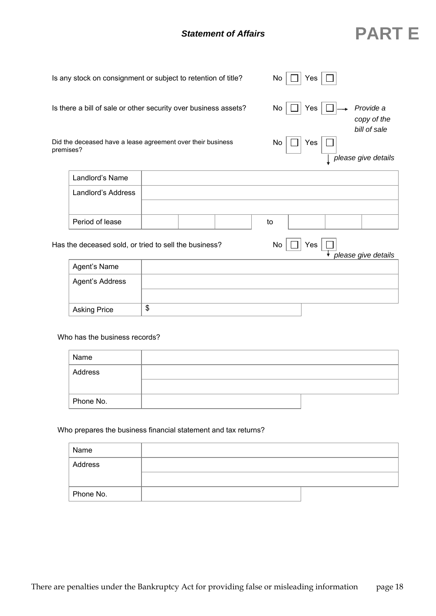|                     | Is any stock on consignment or subject to retention of title?   | No<br>Yes                                        |
|---------------------|-----------------------------------------------------------------|--------------------------------------------------|
|                     | Is there a bill of sale or other security over business assets? | Provide a<br>Yes<br>No<br>copy of the            |
| premises?           | Did the deceased have a lease agreement over their business     | bill of sale<br>No<br>Yes<br>please give details |
| Landlord's Name     |                                                                 |                                                  |
| Landlord's Address  |                                                                 |                                                  |
| Period of lease     |                                                                 | to                                               |
|                     | Has the deceased sold, or tried to sell the business?           | No<br>Yes<br>please give details                 |
| Agent's Name        |                                                                 |                                                  |
| Agent's Address     |                                                                 |                                                  |
| <b>Asking Price</b> | \$                                                              |                                                  |

Who has the business records?

| Name      |  |
|-----------|--|
| Address   |  |
|           |  |
| Phone No. |  |

#### Who prepares the business financial statement and tax returns?

|  | Name      |  |
|--|-----------|--|
|  | Address   |  |
|  |           |  |
|  | Phone No. |  |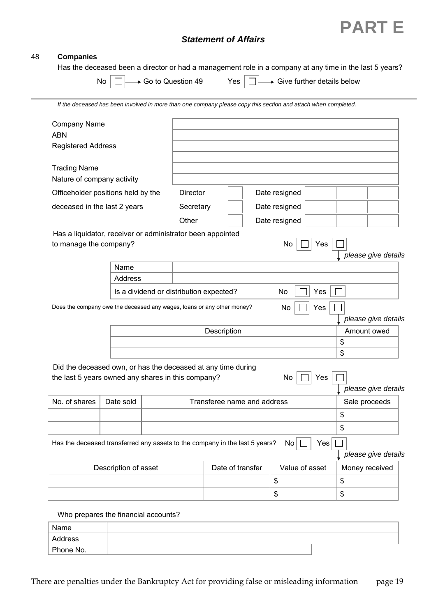

#### 48 **Companies**

Has the deceased been a director or had a management role in a company at any time in the last 5 years?

| No $\Box \rightarrow$ Go to Question 49 |  | Yes $\Box \longrightarrow$ Give further details below |
|-----------------------------------------|--|-------------------------------------------------------|
|                                         |  |                                                       |

| $\Box^+$ |  |  | → Give further det |  |
|----------|--|--|--------------------|--|
|----------|--|--|--------------------|--|

*If the deceased has been involved in more than one company please copy this section and attach when completed.* 

| Company Name                                                       |                      |                                                                                                                    |                  |                             |                |                                    |
|--------------------------------------------------------------------|----------------------|--------------------------------------------------------------------------------------------------------------------|------------------|-----------------------------|----------------|------------------------------------|
| <b>ABN</b><br><b>Registered Address</b>                            |                      |                                                                                                                    |                  |                             |                |                                    |
| <b>Trading Name</b><br>Nature of company activity                  |                      |                                                                                                                    |                  |                             |                |                                    |
|                                                                    |                      | <b>Director</b>                                                                                                    |                  | Date resigned               |                |                                    |
| Officeholder positions held by the<br>deceased in the last 2 years |                      |                                                                                                                    |                  | Date resigned               |                |                                    |
|                                                                    |                      | Secretary<br>Other                                                                                                 |                  | Date resigned               |                |                                    |
|                                                                    |                      | Has a liquidator, receiver or administrator been appointed                                                         |                  |                             |                |                                    |
| to manage the company?                                             |                      |                                                                                                                    |                  | No                          | Yes            | please give details                |
|                                                                    | Name                 |                                                                                                                    |                  |                             |                |                                    |
|                                                                    | Address              |                                                                                                                    |                  |                             |                |                                    |
|                                                                    |                      | Is a dividend or distribution expected?                                                                            |                  | No                          | Yes            |                                    |
|                                                                    |                      |                                                                                                                    | Description      |                             | Yes            | please give details<br>Amount owed |
|                                                                    |                      |                                                                                                                    |                  |                             |                | \$<br>\$                           |
|                                                                    |                      | Did the deceased own, or has the deceased at any time during<br>the last 5 years owned any shares in this company? |                  | No                          | Yes            |                                    |
|                                                                    |                      |                                                                                                                    |                  |                             |                | please give details                |
| No. of shares                                                      | Date sold            |                                                                                                                    |                  | Transferee name and address |                | Sale proceeds                      |
|                                                                    |                      |                                                                                                                    |                  |                             |                | \$                                 |
|                                                                    |                      |                                                                                                                    |                  |                             |                | \$                                 |
|                                                                    |                      | Has the deceased transferred any assets to the company in the last 5 years?                                        |                  | No                          | Yes            | please give details                |
|                                                                    | Description of asset |                                                                                                                    | Date of transfer |                             | Value of asset | Money received                     |
|                                                                    |                      |                                                                                                                    |                  | \$                          |                | \$                                 |

Who prepares the financial accounts?

| Name      |  |
|-----------|--|
| Address   |  |
| Phone No. |  |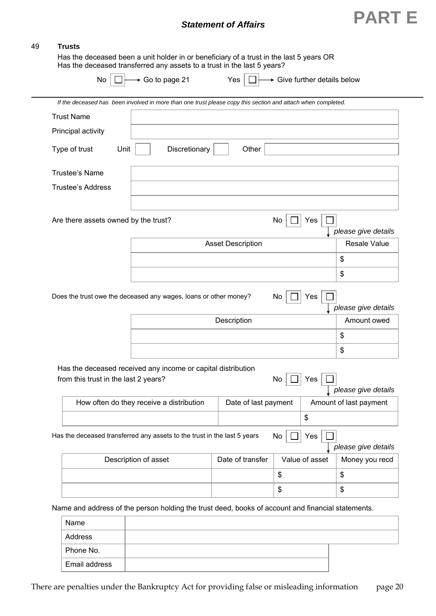

#### 49 **Trusts**

 $\overline{\phantom{0}}$ 

 Has the deceased been a unit holder in or beneficiary of a trust in the last 5 years OR Has the deceased transferred any assets to a trust in the last 5 years?

| No                                   | ► Go to page 21                                                                                              |                          |    |                |                                                                                                                                               |
|--------------------------------------|--------------------------------------------------------------------------------------------------------------|--------------------------|----|----------------|-----------------------------------------------------------------------------------------------------------------------------------------------|
|                                      | If the deceased has been involved in more than one trust please copy this section and attach when completed. |                          |    |                |                                                                                                                                               |
| <b>Trust Name</b>                    |                                                                                                              |                          |    |                |                                                                                                                                               |
| Principal activity                   |                                                                                                              |                          |    |                |                                                                                                                                               |
| Type of trust<br>Unit                | Discretionary                                                                                                | Other                    |    |                |                                                                                                                                               |
| <b>Trustee's Name</b>                |                                                                                                              |                          |    |                |                                                                                                                                               |
| <b>Trustee's Address</b>             |                                                                                                              |                          |    |                |                                                                                                                                               |
| Are there assets owned by the trust? |                                                                                                              |                          | No | Yes            | please give details                                                                                                                           |
|                                      |                                                                                                              | <b>Asset Description</b> |    |                | <b>Resale Value</b>                                                                                                                           |
|                                      |                                                                                                              |                          |    |                | \$                                                                                                                                            |
|                                      |                                                                                                              |                          |    |                |                                                                                                                                               |
|                                      |                                                                                                              |                          |    |                | \$                                                                                                                                            |
|                                      | Does the trust owe the deceased any wages, loans or other money?                                             | Description              | No | Yes            |                                                                                                                                               |
|                                      |                                                                                                              |                          |    |                | $\frac{1}{2}$                                                                                                                                 |
|                                      |                                                                                                              |                          |    |                | \$                                                                                                                                            |
| from this trust in the last 2 years? | Has the deceased received any income or capital distribution                                                 |                          | No | Yes            |                                                                                                                                               |
|                                      | How often do they receive a distribution                                                                     | Date of last payment     |    |                |                                                                                                                                               |
|                                      |                                                                                                              |                          |    | \$             |                                                                                                                                               |
|                                      | Has the deceased transferred any assets to the trust in the last 5 years                                     |                          | No | Yes            |                                                                                                                                               |
|                                      | Description of asset                                                                                         | Date of transfer         |    | Value of asset |                                                                                                                                               |
|                                      |                                                                                                              |                          | \$ |                | please give details<br>Amount owed<br>please give details<br>Amount of last payment<br>please give details<br>Money you recd<br>$\frac{1}{2}$ |

| Name          |  |
|---------------|--|
| Address       |  |
| Phone No.     |  |
| Email address |  |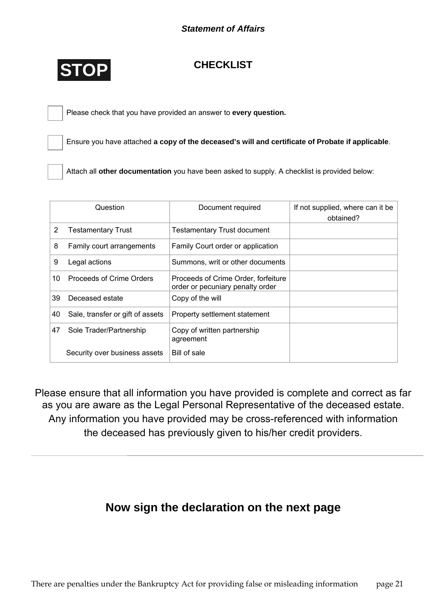

# **CHECKLIST**

Please check that you have provided an answer to **every question.**

Ensure you have attached **a copy of the deceased's will and certificate of Probate if applicable**.

Attach all **other documentation** you have been asked to supply. A checklist is provided below:

|    | Question                         | Document required                                                       | If not supplied, where can it be<br>obtained? |
|----|----------------------------------|-------------------------------------------------------------------------|-----------------------------------------------|
| 2  | <b>Testamentary Trust</b>        | <b>Testamentary Trust document</b>                                      |                                               |
| 8  | Family court arrangements        | Family Court order or application                                       |                                               |
| 9  | Legal actions                    | Summons, writ or other documents                                        |                                               |
| 10 | Proceeds of Crime Orders         | Proceeds of Crime Order, forfeiture<br>order or pecuniary penalty order |                                               |
| 39 | Deceased estate                  | Copy of the will                                                        |                                               |
| 40 | Sale, transfer or gift of assets | Property settlement statement                                           |                                               |
| 47 | Sole Trader/Partnership          | Copy of written partnership<br>agreement                                |                                               |
|    | Security over business assets    | Bill of sale                                                            |                                               |

Please ensure that all information you have provided is complete and correct as far as you are aware as the Legal Personal Representative of the deceased estate. Any information you have provided may be cross-referenced with information the deceased has previously given to his/her credit providers.

# **Now sign the declaration on the next page**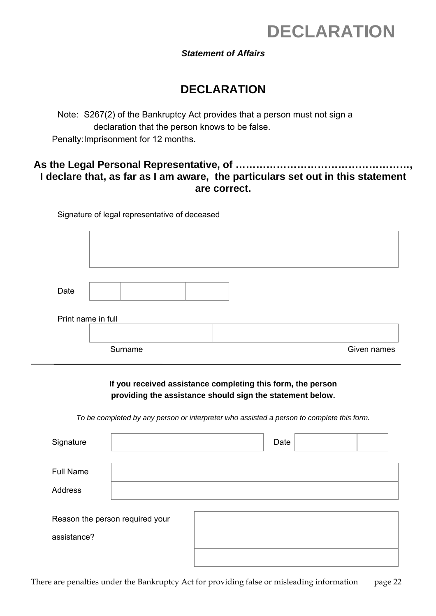# **DECLARATION**

### *Statement of Affairs*

# **DECLARATION**

Note: S267(2) of the Bankruptcy Act provides that a person must not sign a declaration that the person knows to be false. Penalty: Imprisonment for 12 months.

# **As the Legal Personal Representative, of ……………………………………………, I declare that, as far as I am aware, the particulars set out in this statement are correct.**

Signature of legal representative of deceased

| Date |                    |             |
|------|--------------------|-------------|
|      | Print name in full |             |
|      | Surname            | Given names |

### **If you received assistance completing this form, the person providing the assistance should sign the statement below.**

*To be completed by any person or interpreter who assisted a person to complete this form.*

| Signature        |                                 | Date |  |
|------------------|---------------------------------|------|--|
| <b>Full Name</b> |                                 |      |  |
| Address          |                                 |      |  |
| assistance?      | Reason the person required your |      |  |
|                  |                                 |      |  |